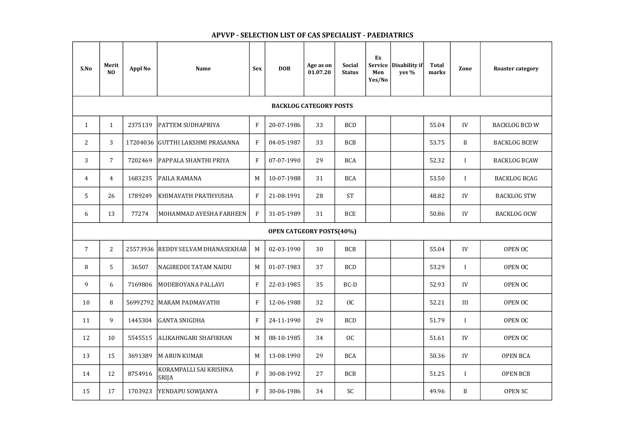| S.No                            | <b>Merit</b><br>N <sub>O</sub> | <b>Appl No</b> | <b>Name</b>                            | <b>Sex</b>                | <b>DOB</b> | Age as on<br>01.07.20 | <b>Social</b><br><b>Status</b> | Ex<br>Service<br>Men<br>Yes/No | Disability if<br>yes % | <b>Total</b><br>marks | Zone         | <b>Roaster category</b> |
|---------------------------------|--------------------------------|----------------|----------------------------------------|---------------------------|------------|-----------------------|--------------------------------|--------------------------------|------------------------|-----------------------|--------------|-------------------------|
| <b>BACKLOG CATEGORY POSTS</b>   |                                |                |                                        |                           |            |                       |                                |                                |                        |                       |              |                         |
| $\mathbf{1}$                    | $\mathbf{1}$                   | 2375139        | <b>PATTEM SUDHAPRIYA</b>               | $\rm F$                   | 20-07-1986 | 33                    | <b>BCD</b>                     |                                |                        | 55.04                 | IV           | <b>BACKLOG BCD W</b>    |
| $\overline{2}$                  | 3                              | 17204036       | GUTTHI LAKSHMI PRASANNA                | $\mathbf{F}$              | 04-05-1987 | 33                    | <b>BCB</b>                     |                                |                        | 53.75                 | II           | <b>BACKLOG BCEW</b>     |
| 3                               | $\overline{7}$                 | 7202469        | PAPPALA SHANTHI PRIYA                  | $\mathbf{F}$              | 07-07-1990 | 29                    | <b>BCA</b>                     |                                |                        | 52.32                 |              | <b>BACKLOG BCAW</b>     |
| $\overline{4}$                  | $\overline{4}$                 | 1683235        | PAILA RAMANA                           | M                         | 10-07-1988 | 31                    | <b>BCA</b>                     |                                |                        | 53.50                 | $\mathbf I$  | <b>BACKLOG BCAG</b>     |
| 5                               | 26                             | 1789249        | KHIMAVATH PRATHYUSHA                   | $\rm F$                   | 21-08-1991 | 28                    | <b>ST</b>                      |                                |                        | 48.82                 | IV           | <b>BACKLOG STW</b>      |
| 6                               | 13                             | 77274          | <b>MOHAMMAD AYESHA FARHEEN</b>         | $\mathbf{F}$              | 31-05-1989 | 31                    | <b>BCE</b>                     |                                |                        | 50.86                 | IV           | <b>BACKLOG OCW</b>      |
| <b>OPEN CATGEORY POSTS(40%)</b> |                                |                |                                        |                           |            |                       |                                |                                |                        |                       |              |                         |
| $\overline{7}$                  | $\overline{2}$                 | 25573936       | <b>REDDY SELVAM DHANASEKHAR</b>        | M                         | 02-03-1990 | 30                    | <b>BCB</b>                     |                                |                        | 55.04                 | IV           | <b>OPEN OC</b>          |
| 8                               | 5                              | 36507          | <b>NAGIREDDI TATAM NAIDU</b>           | M                         | 01-07-1983 | 37                    | <b>BCD</b>                     |                                |                        | 53.29                 |              | <b>OPEN OC</b>          |
| 9                               | 6                              | 7169806        | MODEBOYANA PALLAVI                     | $\boldsymbol{\mathrm{F}}$ | 22-03-1985 | 35                    | BC-D                           |                                |                        | 52.93                 | IV           | OPEN OC                 |
| 10                              | 8                              |                | 56992792   MARAM PADMAVATHI            | ${\bf F}$                 | 12-06-1988 | 32                    | OC                             |                                |                        | 52.21                 | $\rm III$    | OPEN OC                 |
| 11                              | 9                              | 1445304        | <b>GANTA SNIGDHA</b>                   | ${\bf F}$                 | 24-11-1990 | 29                    | <b>BCD</b>                     |                                |                        | 51.79                 | $\mathbf I$  | OPEN OC                 |
| 12                              | 10                             | 5545515        | ALIKAHNGARI SHAFIKHAN                  | M                         | 08-10-1985 | 34                    | OC                             |                                |                        | 51.61                 | IV           | OPEN OC                 |
| 13                              | 15                             | 3691389        | M ARUN KUMAR                           | M                         | 13-08-1990 | 29                    | <b>BCA</b>                     |                                |                        | 50.36                 | IV           | OPEN BCA                |
| 14                              | 12                             | 8754916        | KORAMPALLI SAI KRISHNA<br><b>SRIJA</b> | $\rm F$                   | 30-08-1992 | 27                    | <b>BCB</b>                     |                                |                        | 51.25                 | $\mathbf{I}$ | <b>OPEN BCB</b>         |
| 15                              | 17                             | 1703923        | YENDAPU SOWJANYA                       | $\mathbf{F}$              | 30-06-1986 | 34                    | SC                             |                                |                        | 49.96                 | $\mathbf{I}$ | <b>OPEN SC</b>          |



## APVVP - SELECTION LIST OF CAS SPECIALIST - PAEDIATRICS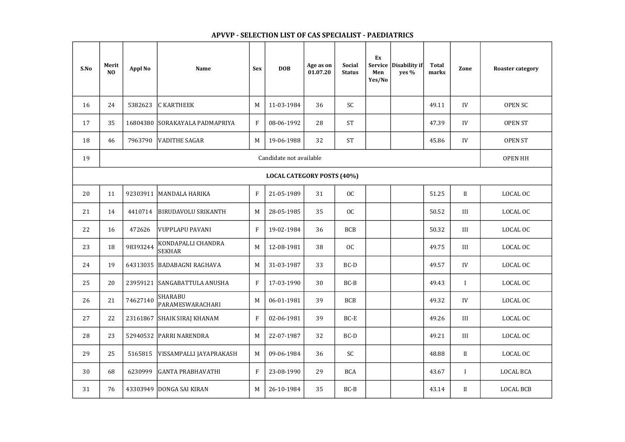## APVVP - SELECTION LIST OF CAS SPECIALIST - PAEDIATRICS

| S.No                              | Merit<br>N <sub>O</sub> | <b>Appl No</b> | <b>Name</b>                         | <b>Sex</b>                | <b>DOB</b> | Age as on<br>01.07.20 | <b>Social</b><br><b>Status</b> | Ex<br>Men<br>Yes/No | Service   Disability if  <br>yes $%$ | <b>Total</b><br>marks | Zone           | <b>Roaster category</b> |
|-----------------------------------|-------------------------|----------------|-------------------------------------|---------------------------|------------|-----------------------|--------------------------------|---------------------|--------------------------------------|-----------------------|----------------|-------------------------|
| 16                                | 24                      | 5382623        | <b>C KARTHEEK</b>                   | M                         | 11-03-1984 | 36                    | SC                             |                     |                                      | 49.11                 | IV             | <b>OPEN SC</b>          |
| 17                                | 35                      | 16804380       | SORAKAYALA PADMAPRIYA               | F                         | 08-06-1992 | 28                    | <b>ST</b>                      |                     |                                      | 47.39                 | IV             | <b>OPEN ST</b>          |
| 18                                | 46                      | 7963790        | <b>VADITHE SAGAR</b>                | M                         | 19-06-1988 | 32                    | <b>ST</b>                      |                     |                                      | 45.86                 | IV             | <b>OPEN ST</b>          |
| 19                                | Candidate not available |                |                                     |                           |            |                       |                                |                     |                                      |                       | <b>OPEN HH</b> |                         |
| <b>LOCAL CATEGORY POSTS (40%)</b> |                         |                |                                     |                           |            |                       |                                |                     |                                      |                       |                |                         |
| 20                                | 11                      | 92303911       | MANDALA HARIKA                      | $\overline{F}$            | 21-05-1989 | 31                    | OC                             |                     |                                      | 51.25                 | II             | LOCAL OC                |
| 21                                | 14                      | 4410714        | BIRUDAVOLU SRIKANTH                 | M                         | 28-05-1985 | 35                    | OC                             |                     |                                      | 50.52                 | III            | LOCAL OC                |
| 22                                | 16                      | 472626         | VUPPLAPU PAVANI                     | $\mathbf{F}$              | 19-02-1984 | 36                    | <b>BCB</b>                     |                     |                                      | 50.32                 | III            | LOCAL OC                |
| 23                                | 18                      | 98393244       | KONDAPALLI CHANDRA<br><b>SEKHAR</b> | M                         | 12-08-1981 | 38                    | OC                             |                     |                                      | 49.75                 | III            | LOCAL OC                |
| 24                                | 19                      |                | 64313035   BADABAGNI RAGHAVA        | M                         | 31-03-1987 | 33                    | $BC-D$                         |                     |                                      | 49.57                 | IV             | LOCAL OC                |
| 25                                | 20                      |                | 23959121 SANGABATTULA ANUSHA        | $\boldsymbol{\mathrm{F}}$ | 17-03-1990 | 30                    | $BC-B$                         |                     |                                      | 49.43                 | $\mathbf I$    | LOCAL OC                |
| 26                                | 21                      | 74627140       | <b>SHARABU</b><br>PARAMESWARACHARI  | M                         | 06-01-1981 | 39                    | <b>BCB</b>                     |                     |                                      | 49.32                 | IV             | LOCAL OC                |
| 27                                | 22                      |                | 23161867 SHAIK SIRAJ KHANAM         | $\boldsymbol{\mathrm{F}}$ | 02-06-1981 | 39                    | $BC-E$                         |                     |                                      | 49.26                 | III            | LOCAL OC                |
| 28                                | 23                      |                | 52940532 PARRI NARENDRA             | M                         | 22-07-1987 | 32                    | BC-D                           |                     |                                      | 49.21                 | III            | LOCAL OC                |
| 29                                | 25                      | 5165815        | VISSAMPALLI JAYAPRAKASH             | M                         | 09-06-1984 | 36                    | SC                             |                     |                                      | 48.88                 | II             | LOCAL OC                |
| 30                                | 68                      | 6230999        | GANTA PRABHAVATHI                   | $\mathbf F$               | 23-08-1990 | 29                    | <b>BCA</b>                     |                     |                                      | 43.67                 | $\mathbf I$    | LOCAL BCA               |
| 31                                | 76                      |                | 43303949 DONGA SAI KIRAN            | M                         | 26-10-1984 | 35                    | $BC-B$                         |                     |                                      | 43.14                 | $\mathbf{I}$   | LOCAL BCB               |